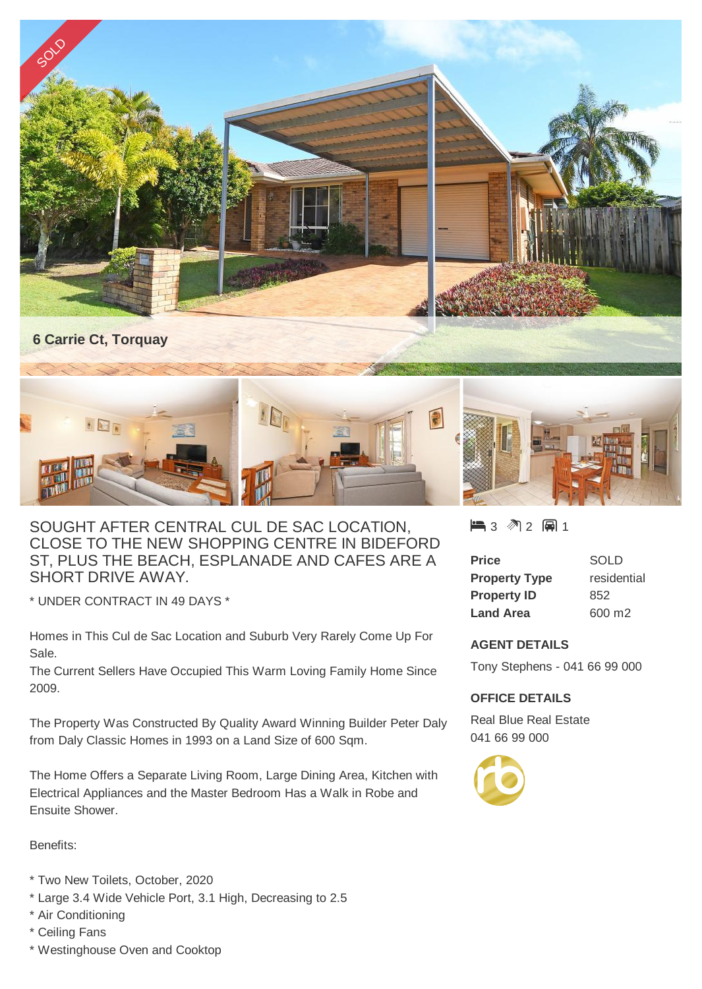

## SOUGHT AFTER CENTRAL CUL DE SAC LOCATION, CLOSE TO THE NEW SHOPPING CENTRE IN BIDEFORD ST, PLUS THE BEACH, ESPLANADE AND CAFES ARE A SHORT DRIVE AWAY.

\* UNDER CONTRACT IN 49 DAYS \*

Homes in This Cul de Sac Location and Suburb Very Rarely Come Up For Sale.

The Current Sellers Have Occupied This Warm Loving Family Home Since 2009.

The Property Was Constructed By Quality Award Winning Builder Peter Daly from Daly Classic Homes in 1993 on a Land Size of 600 Sqm.

The Home Offers a Separate Living Room, Large Dining Area, Kitchen with Electrical Appliances and the Master Bedroom Has a Walk in Robe and Ensuite Shower.

Benefits:

- \* Two New Toilets, October, 2020
- \* Large 3.4 Wide Vehicle Port, 3.1 High, Decreasing to 2.5
- \* Air Conditioning
- \* Ceiling Fans
- \* Westinghouse Oven and Cooktop

## ■3 图2 圓1

| Price                | <b>SOLD</b> |
|----------------------|-------------|
| <b>Property Type</b> | residential |
| <b>Property ID</b>   | 852         |
| <b>Land Area</b>     | 600 m2      |

## **AGENT DETAILS**

Tony Stephens - 041 66 99 000

## **OFFICE DETAILS**

Real Blue Real Estate 041 66 99 000